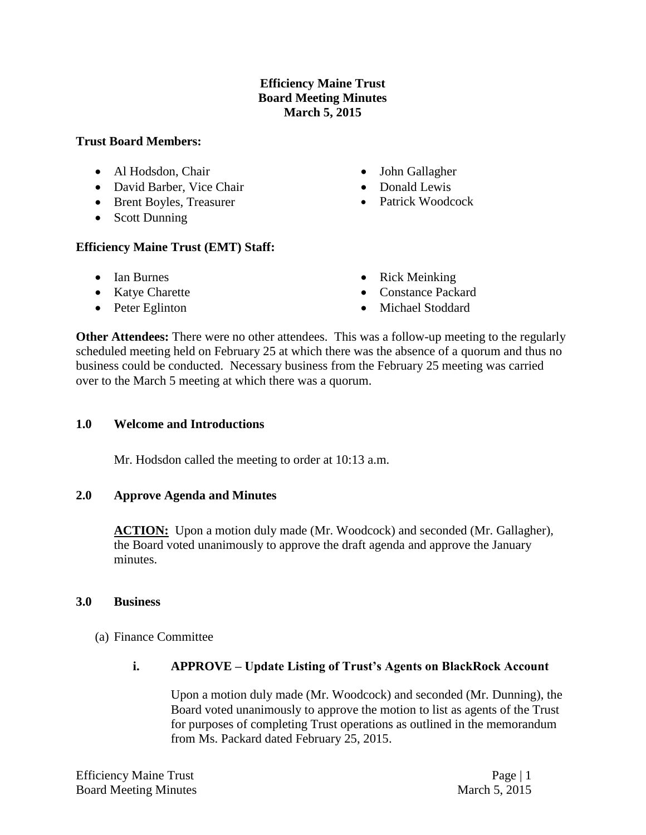## **Efficiency Maine Trust Board Meeting Minutes March 5, 2015**

#### **Trust Board Members:**

- Al Hodsdon, Chair
- David Barber, Vice Chair
- Brent Boyles, Treasurer
- Scott Dunning

## **Efficiency Maine Trust (EMT) Staff:**

- Ian Burnes
- Katye Charette
- Peter Eglinton
- John Gallagher
- Donald Lewis
- Patrick Woodcock
- Rick Meinking
- Constance Packard
- Michael Stoddard

**Other Attendees:** There were no other attendees. This was a follow-up meeting to the regularly scheduled meeting held on February 25 at which there was the absence of a quorum and thus no business could be conducted. Necessary business from the February 25 meeting was carried over to the March 5 meeting at which there was a quorum.

## **1.0 Welcome and Introductions**

Mr. Hodsdon called the meeting to order at 10:13 a.m.

## **2.0 Approve Agenda and Minutes**

ACTION: Upon a motion duly made (Mr. Woodcock) and seconded (Mr. Gallagher), the Board voted unanimously to approve the draft agenda and approve the January minutes.

## **3.0 Business**

- (a) Finance Committee
	- **i. APPROVE – Update Listing of Trust's Agents on BlackRock Account**

Upon a motion duly made (Mr. Woodcock) and seconded (Mr. Dunning), the Board voted unanimously to approve the motion to list as agents of the Trust for purposes of completing Trust operations as outlined in the memorandum from Ms. Packard dated February 25, 2015.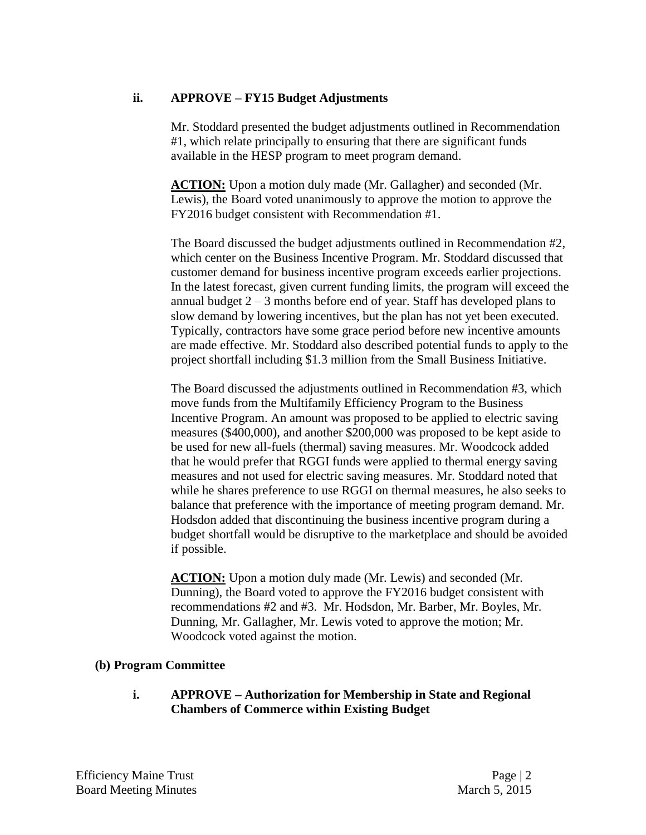# **ii. APPROVE – FY15 Budget Adjustments**

Mr. Stoddard presented the budget adjustments outlined in Recommendation #1, which relate principally to ensuring that there are significant funds available in the HESP program to meet program demand.

**ACTION:** Upon a motion duly made (Mr. Gallagher) and seconded (Mr. Lewis), the Board voted unanimously to approve the motion to approve the FY2016 budget consistent with Recommendation #1.

The Board discussed the budget adjustments outlined in Recommendation #2, which center on the Business Incentive Program. Mr. Stoddard discussed that customer demand for business incentive program exceeds earlier projections. In the latest forecast, given current funding limits, the program will exceed the annual budget  $2 - 3$  months before end of year. Staff has developed plans to slow demand by lowering incentives, but the plan has not yet been executed. Typically, contractors have some grace period before new incentive amounts are made effective. Mr. Stoddard also described potential funds to apply to the project shortfall including \$1.3 million from the Small Business Initiative.

The Board discussed the adjustments outlined in Recommendation #3, which move funds from the Multifamily Efficiency Program to the Business Incentive Program. An amount was proposed to be applied to electric saving measures (\$400,000), and another \$200,000 was proposed to be kept aside to be used for new all-fuels (thermal) saving measures. Mr. Woodcock added that he would prefer that RGGI funds were applied to thermal energy saving measures and not used for electric saving measures. Mr. Stoddard noted that while he shares preference to use RGGI on thermal measures, he also seeks to balance that preference with the importance of meeting program demand. Mr. Hodsdon added that discontinuing the business incentive program during a budget shortfall would be disruptive to the marketplace and should be avoided if possible.

**ACTION:** Upon a motion duly made (Mr. Lewis) and seconded (Mr. Dunning), the Board voted to approve the FY2016 budget consistent with recommendations #2 and #3. Mr. Hodsdon, Mr. Barber, Mr. Boyles, Mr. Dunning, Mr. Gallagher, Mr. Lewis voted to approve the motion; Mr. Woodcock voted against the motion.

## **(b) Program Committee**

**i. APPROVE – Authorization for Membership in State and Regional Chambers of Commerce within Existing Budget**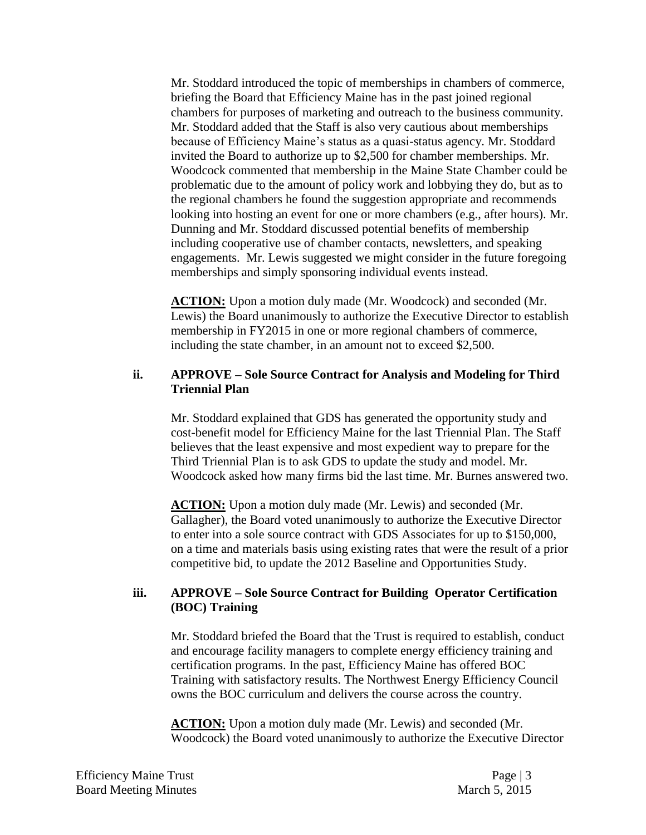Mr. Stoddard introduced the topic of memberships in chambers of commerce, briefing the Board that Efficiency Maine has in the past joined regional chambers for purposes of marketing and outreach to the business community. Mr. Stoddard added that the Staff is also very cautious about memberships because of Efficiency Maine's status as a quasi-status agency. Mr. Stoddard invited the Board to authorize up to \$2,500 for chamber memberships. Mr. Woodcock commented that membership in the Maine State Chamber could be problematic due to the amount of policy work and lobbying they do, but as to the regional chambers he found the suggestion appropriate and recommends looking into hosting an event for one or more chambers (e.g., after hours). Mr. Dunning and Mr. Stoddard discussed potential benefits of membership including cooperative use of chamber contacts, newsletters, and speaking engagements. Mr. Lewis suggested we might consider in the future foregoing memberships and simply sponsoring individual events instead.

**ACTION:** Upon a motion duly made (Mr. Woodcock) and seconded (Mr. Lewis) the Board unanimously to authorize the Executive Director to establish membership in FY2015 in one or more regional chambers of commerce, including the state chamber, in an amount not to exceed \$2,500.

#### **ii. APPROVE – Sole Source Contract for Analysis and Modeling for Third Triennial Plan**

Mr. Stoddard explained that GDS has generated the opportunity study and cost-benefit model for Efficiency Maine for the last Triennial Plan. The Staff believes that the least expensive and most expedient way to prepare for the Third Triennial Plan is to ask GDS to update the study and model. Mr. Woodcock asked how many firms bid the last time. Mr. Burnes answered two.

**ACTION:** Upon a motion duly made (Mr. Lewis) and seconded (Mr. Gallagher), the Board voted unanimously to authorize the Executive Director to enter into a sole source contract with GDS Associates for up to \$150,000, on a time and materials basis using existing rates that were the result of a prior competitive bid, to update the 2012 Baseline and Opportunities Study.

## **iii. APPROVE – Sole Source Contract for Building Operator Certification (BOC) Training**

Mr. Stoddard briefed the Board that the Trust is required to establish, conduct and encourage facility managers to complete energy efficiency training and certification programs. In the past, Efficiency Maine has offered BOC Training with satisfactory results. The Northwest Energy Efficiency Council owns the BOC curriculum and delivers the course across the country.

**ACTION:** Upon a motion duly made (Mr. Lewis) and seconded (Mr. Woodcock) the Board voted unanimously to authorize the Executive Director